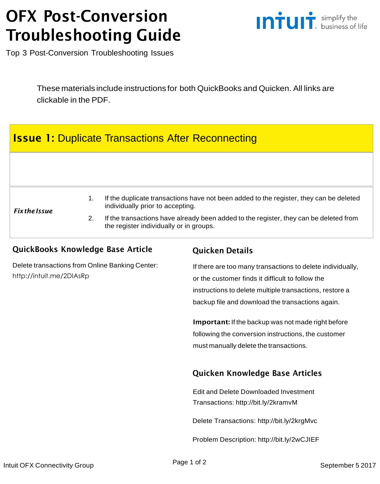# OFX Post-Conversion Troubleshooting Guide



Top 3 Post-Conversion Troubleshooting Issues

These materials include instructions for both QuickBooks and Quicken. All links are clickable in the PDF.

## **Issue 1: Duplicate Transactions After Reconnecting**

#### *FixtheIssue*

- 1. If the duplicate transactions have not been added to the register, they can be deleted individually prior to accepting.
- 2. If the transactions have already been added to the register, they can be deleted from the register individually or in groups.

### QuickBooks Knowledge Base Article

Delete [transactions](http://intuit.me/2DIAsRp) from Online Banking Center: <http://intuit.me/2DIAsRp>

### Quicken Details

If there are too many transactions to delete individually, or the customer finds it difficult to follow the instructions to delete multiple transactions, restore a backup file and download the transactions again.

Important: If the backup was not made right before following the conversion instructions, the customer must manually delete the transactions.

### Quicken Knowledge Base Articles

Edit and Delete [Downloaded](http://bit.ly/2kramvM) Investment Transactions: <http://bit.ly/2kramvM>

Delete Transactions: <http://bit.ly/2krgMvc>

Problem Description: <http://bit.ly/2wCJIEF>